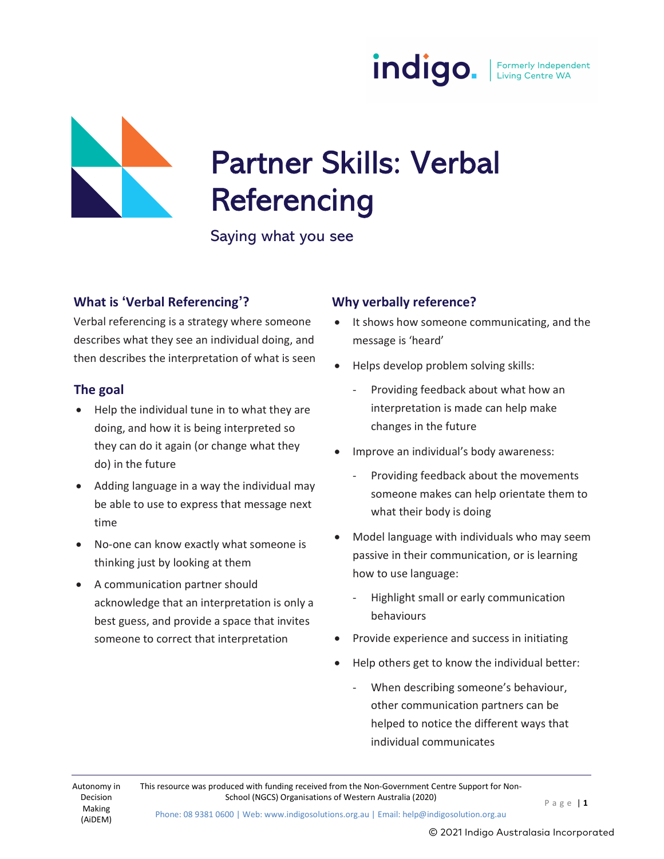



# Partner Skills: Verbal **Referencing**

Saying what you see

#### What is 'Verbal Referencing'?

Verbal referencing is a strategy where someone describes what they see an individual doing, and then describes the interpretation of what is seen

#### The goal

- Help the individual tune in to what they are doing, and how it is being interpreted so they can do it again (or change what they do) in the future
- Adding language in a way the individual may be able to use to express that message next time
- No-one can know exactly what someone is thinking just by looking at them
- A communication partner should acknowledge that an interpretation is only a best guess, and provide a space that invites someone to correct that interpretation

#### Why verbally reference?

- It shows how someone communicating, and the message is 'heard'
- Helps develop problem solving skills:
	- Providing feedback about what how an interpretation is made can help make changes in the future
- Improve an individual's body awareness:
	- Providing feedback about the movements someone makes can help orientate them to what their body is doing
- Model language with individuals who may seem passive in their communication, or is learning how to use language:
	- Highlight small or early communication behaviours
- Provide experience and success in initiating
- Help others get to know the individual better:
	- When describing someone's behaviour, other communication partners can be helped to notice the different ways that individual communicates

This resource was produced with funding received from the Non-Government Centre Support for Non-School (NGCS) Organisations of Western Australia (2020)<br>  $P \text{ a } g \text{ e } | \text{ 1}$